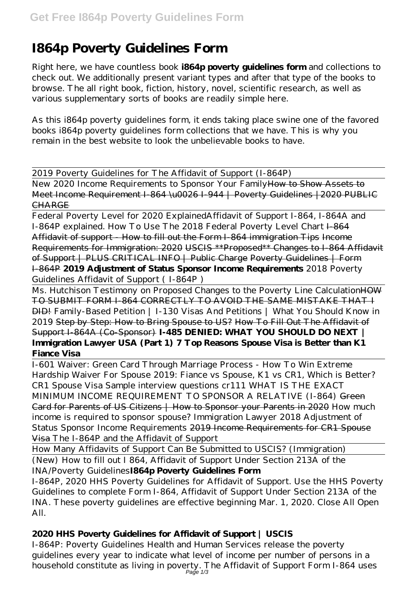# **I864p Poverty Guidelines Form**

Right here, we have countless book **i864p poverty guidelines form** and collections to check out. We additionally present variant types and after that type of the books to browse. The all right book, fiction, history, novel, scientific research, as well as various supplementary sorts of books are readily simple here.

As this i864p poverty guidelines form, it ends taking place swine one of the favored books i864p poverty guidelines form collections that we have. This is why you remain in the best website to look the unbelievable books to have.

2019 Poverty Guidelines for The Affidavit of Support (I-864P)

New 2020 Income Requirements to Sponsor Your Family How to Show Assets to Meet Income Requirement I-864 \u0026 I-944 | Poverty Guidelines | 2020 PUBLIC CHARGE

Federal Poverty Level for 2020 Explained*Affidavit of Support I-864, I-864A and* I-864P explained. How To Use The 2018 Federal Poverty Level Chart I-864 Affidavit of support - How to fill out the Form I-864 immigration Tips Income Requirements for Immigration: 2020 USCIS \*\*Proposed\*\* Changes to I-864 Affidavit of Support | PLUS CRITICAL INFO | Public Charge Poverty Guidelines | Form I-864P **2019 Adjustment of Status Sponsor Income Requirements** *2018 Poverty Guidelines Affidavit of Support ( I-864P )*

Ms. Hutchison Testimony on Proposed Changes to the Poverty Line Calculation HOW TO SUBMIT FORM I-864 CORRECTLY TO AVOID THE SAME MISTAKE THAT I DID! Family-Based Petition | I-130 Visas And Petitions | What You Should Know in 2019 Step by Step: How to Bring Spouse to US? How To Fill Out The Affidavit of Support I-864A (Co-Sponsor) **I-485 DENIED: WHAT YOU SHOULD DO NEXT | Immigration Lawyer USA (Part 1) 7 Top Reasons Spouse Visa is Better than K1 Fiance Visa**

I-601 Waiver: Green Card Through Marriage Process - How To Win Extreme Hardship Waiver For Spouse 2019: Fiance vs Spouse, K1 vs CR1, Which is Better? *CR1 Spouse Visa Sample interview questions cr111 WHAT IS THE EXACT MINIMUM INCOME REQUIREMENT TO SPONSOR A RELATIVE (I-864)* Green Card for Parents of US Citizens | How to Sponsor your Parents in 2020 *How much income is required to sponsor spouse? Immigration Lawyer 2018 Adjustment of Status Sponsor Income Requirements* 2019 Income Requirements for CR1 Spouse Visa *The I-864P and the Affidavit of Support*

How Many Affidavits of Support Can Be Submitted to USCIS? (Immigration)

(New) How to fill out I 864, Affidavit of Support Under Section 213A of the INA/Poverty Guidelines**I864p Poverty Guidelines Form**

I-864P, 2020 HHS Poverty Guidelines for Affidavit of Support. Use the HHS Poverty Guidelines to complete Form I-864, Affidavit of Support Under Section 213A of the INA. These poverty guidelines are effective beginning Mar. 1, 2020. Close All Open All.

## **2020 HHS Poverty Guidelines for Affidavit of Support | USCIS**

I-864P: Poverty Guidelines Health and Human Services release the poverty guidelines every year to indicate what level of income per number of persons in a household constitute as living in poverty. The Affidavit of Support Form I-864 uses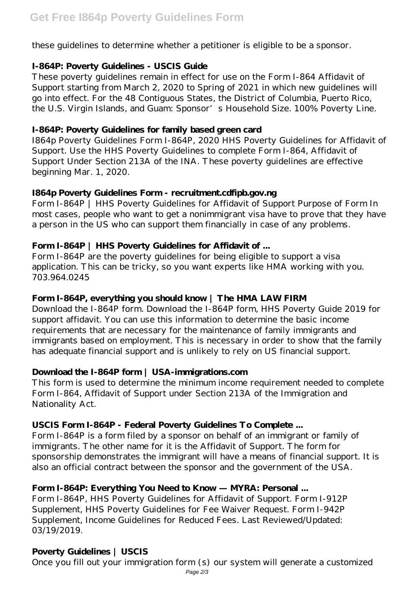these guidelines to determine whether a petitioner is eligible to be a sponsor.

#### **I-864P: Poverty Guidelines - USCIS Guide**

These poverty guidelines remain in effect for use on the Form I-864 Affidavit of Support starting from March 2, 2020 to Spring of 2021 in which new guidelines will go into effect. For the 48 Contiguous States, the District of Columbia, Puerto Rico, the U.S. Virgin Islands, and Guam: Sponsor's Household Size. 100% Poverty Line.

#### **I-864P: Poverty Guidelines for family based green card**

I864p Poverty Guidelines Form I-864P, 2020 HHS Poverty Guidelines for Affidavit of Support. Use the HHS Poverty Guidelines to complete Form I-864, Affidavit of Support Under Section 213A of the INA. These poverty guidelines are effective beginning Mar. 1, 2020.

#### **I864p Poverty Guidelines Form - recruitment.cdfipb.gov.ng**

Form I-864P | HHS Poverty Guidelines for Affidavit of Support Purpose of Form In most cases, people who want to get a nonimmigrant visa have to prove that they have a person in the US who can support them financially in case of any problems.

## **Form I-864P | HHS Poverty Guidelines for Affidavit of ...**

Form I-864P are the poverty guidelines for being eligible to support a visa application. This can be tricky, so you want experts like HMA working with you. 703.964.0245

## **Form I-864P, everything you should know | The HMA LAW FIRM**

Download the I-864P form. Download the I-864P form, HHS Poverty Guide 2019 for support affidavit. You can use this information to determine the basic income requirements that are necessary for the maintenance of family immigrants and immigrants based on employment. This is necessary in order to show that the family has adequate financial support and is unlikely to rely on US financial support.

## **Download the I-864P form | USA-immigrations.com**

This form is used to determine the minimum income requirement needed to complete Form I-864, Affidavit of Support under Section 213A of the Immigration and Nationality Act.

## **USCIS Form I-864P - Federal Poverty Guidelines To Complete ...**

Form I-864P is a form filed by a sponsor on behalf of an immigrant or family of immigrants. The other name for it is the Affidavit of Support. The form for sponsorship demonstrates the immigrant will have a means of financial support. It is also an official contract between the sponsor and the government of the USA.

## **Form I-864P: Everything You Need to Know — MYRA: Personal ...**

Form I-864P, HHS Poverty Guidelines for Affidavit of Support. Form I-912P Supplement, HHS Poverty Guidelines for Fee Waiver Request. Form I-942P Supplement, Income Guidelines for Reduced Fees. Last Reviewed/Updated: 03/19/2019.

## **Poverty Guidelines | USCIS**

Once you fill out your immigration form (s) our system will generate a customized